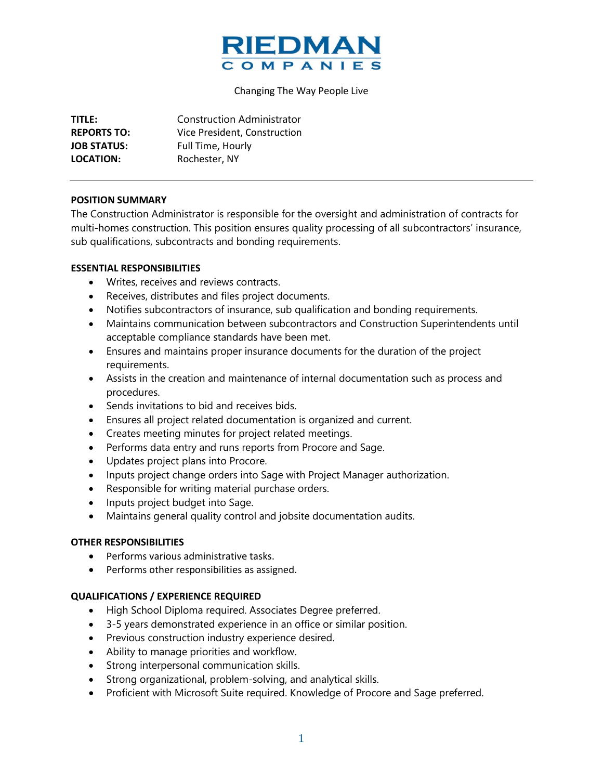

#### Changing The Way People Live

| TITLE:             | <b>Construction Administrator</b> |
|--------------------|-----------------------------------|
| <b>REPORTS TO:</b> | Vice President, Construction      |
| <b>JOB STATUS:</b> | Full Time, Hourly                 |
| LOCATION:          | Rochester, NY                     |

#### **POSITION SUMMARY**

The Construction Administrator is responsible for the oversight and administration of contracts for multi-homes construction. This position ensures quality processing of all subcontractors' insurance, sub qualifications, subcontracts and bonding requirements.

## **ESSENTIAL RESPONSIBILITIES**

- Writes, receives and reviews contracts.
- Receives, distributes and files project documents.
- Notifies subcontractors of insurance, sub qualification and bonding requirements.
- Maintains communication between subcontractors and Construction Superintendents until acceptable compliance standards have been met.
- Ensures and maintains proper insurance documents for the duration of the project requirements.
- Assists in the creation and maintenance of internal documentation such as process and procedures.
- Sends invitations to bid and receives bids.
- Ensures all project related documentation is organized and current.
- Creates meeting minutes for project related meetings.
- Performs data entry and runs reports from Procore and Sage.
- Updates project plans into Procore.
- Inputs project change orders into Sage with Project Manager authorization.
- Responsible for writing material purchase orders.
- Inputs project budget into Sage.
- Maintains general quality control and jobsite documentation audits.

## **OTHER RESPONSIBILITIES**

- Performs various administrative tasks.
- Performs other responsibilities as assigned.

## **QUALIFICATIONS / EXPERIENCE REQUIRED**

- High School Diploma required. Associates Degree preferred.
- 3-5 years demonstrated experience in an office or similar position.
- Previous construction industry experience desired.
- Ability to manage priorities and workflow.
- Strong interpersonal communication skills.
- Strong organizational, problem-solving, and analytical skills.
- Proficient with Microsoft Suite required. Knowledge of Procore and Sage preferred.